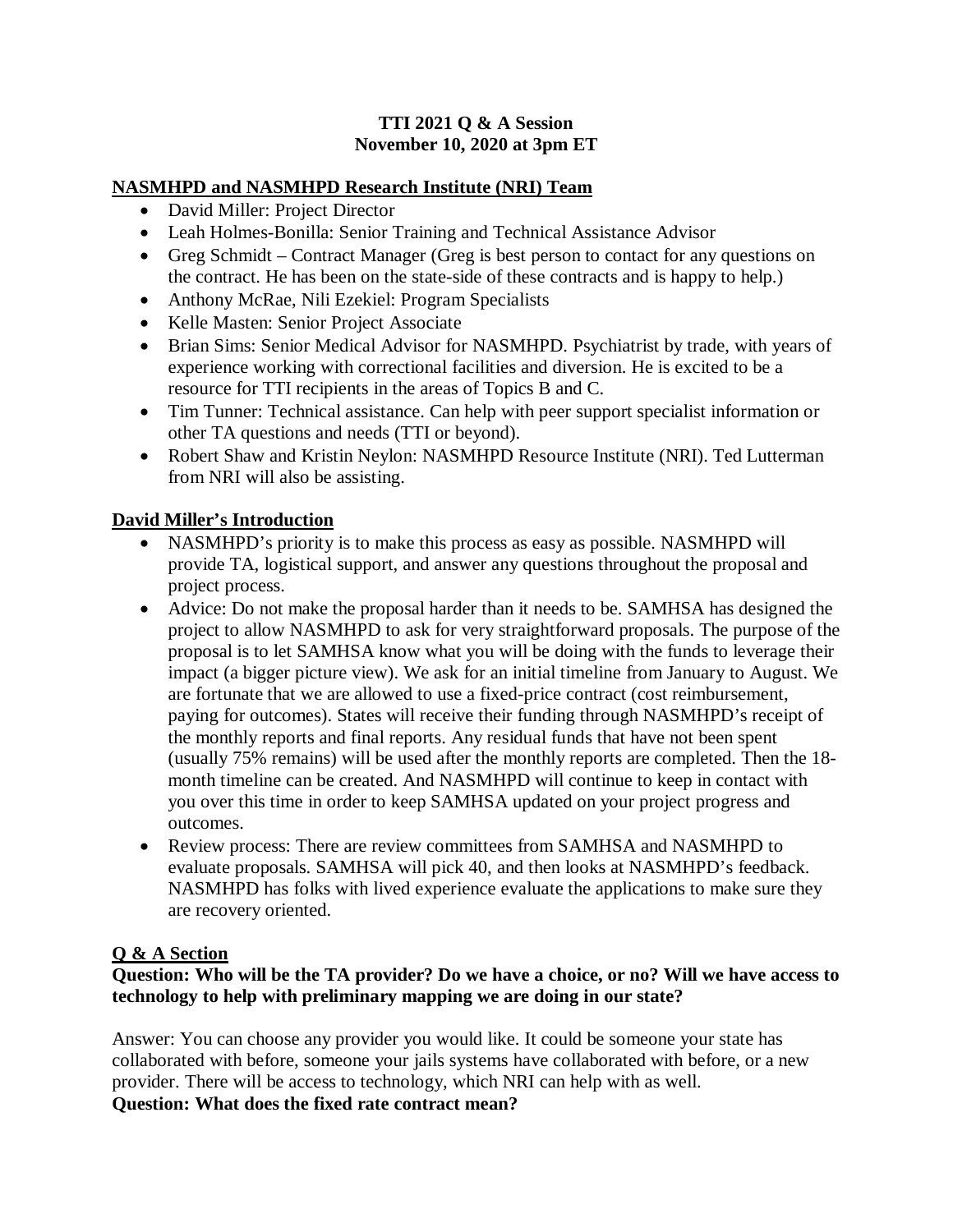### **TTI 2021 Q & A Session November 10, 2020 at 3pm ET**

### **NASMHPD and NASMHPD Research Institute (NRI) Team**

- David Miller: Project Director
- Leah Holmes-Bonilla: Senior Training and Technical Assistance Advisor
- Greg Schmidt Contract Manager (Greg is best person to contact for any questions on the contract. He has been on the state-side of these contracts and is happy to help.)
- Anthony McRae, Nili Ezekiel: Program Specialists
- Kelle Masten: Senior Project Associate
- Brian Sims: Senior Medical Advisor for NASMHPD. Psychiatrist by trade, with years of experience working with correctional facilities and diversion. He is excited to be a resource for TTI recipients in the areas of Topics B and C.
- Tim Tunner: Technical assistance. Can help with peer support specialist information or other TA questions and needs (TTI or beyond).
- Robert Shaw and Kristin Neylon: NASMHPD Resource Institute (NRI). Ted Lutterman from NRI will also be assisting.

# **David Miller's Introduction**

- NASMHPD's priority is to make this process as easy as possible. NASMHPD will provide TA, logistical support, and answer any questions throughout the proposal and project process.
- Advice: Do not make the proposal harder than it needs to be. SAMHSA has designed the project to allow NASMHPD to ask for very straightforward proposals. The purpose of the proposal is to let SAMHSA know what you will be doing with the funds to leverage their impact (a bigger picture view). We ask for an initial timeline from January to August. We are fortunate that we are allowed to use a fixed-price contract (cost reimbursement, paying for outcomes). States will receive their funding through NASMHPD's receipt of the monthly reports and final reports. Any residual funds that have not been spent (usually 75% remains) will be used after the monthly reports are completed. Then the 18 month timeline can be created. And NASMHPD will continue to keep in contact with you over this time in order to keep SAMHSA updated on your project progress and outcomes.
- Review process: There are review committees from SAMHSA and NASMHPD to evaluate proposals. SAMHSA will pick 40, and then looks at NASMHPD's feedback. NASMHPD has folks with lived experience evaluate the applications to make sure they are recovery oriented.

## **Q & A Section**

## **Question: Who will be the TA provider? Do we have a choice, or no? Will we have access to technology to help with preliminary mapping we are doing in our state?**

Answer: You can choose any provider you would like. It could be someone your state has collaborated with before, someone your jails systems have collaborated with before, or a new provider. There will be access to technology, which NRI can help with as well. **Question: What does the fixed rate contract mean?**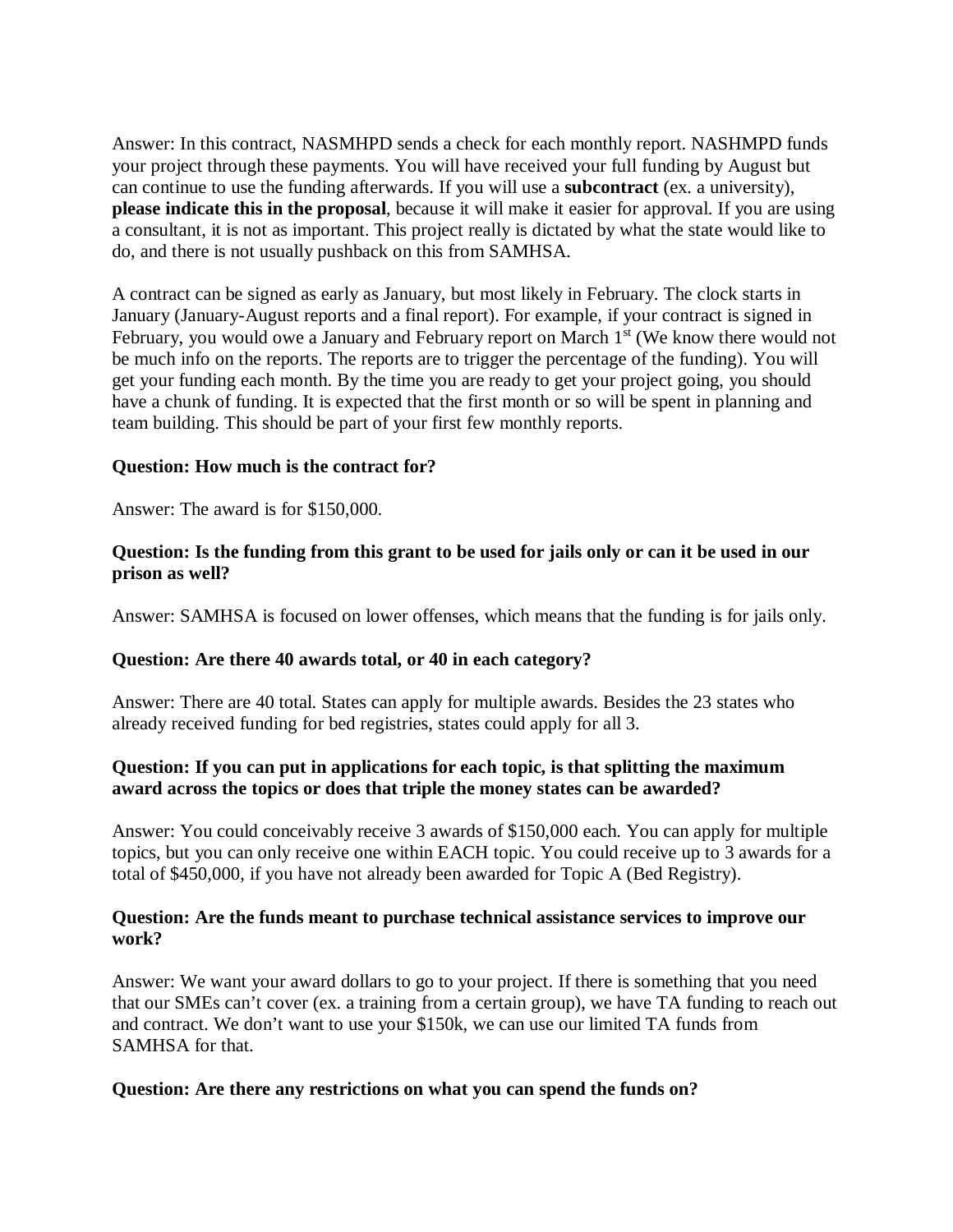Answer: In this contract, NASMHPD sends a check for each monthly report. NASHMPD funds your project through these payments. You will have received your full funding by August but can continue to use the funding afterwards. If you will use a **subcontract** (ex. a university), **please indicate this in the proposal**, because it will make it easier for approval. If you are using a consultant, it is not as important. This project really is dictated by what the state would like to do, and there is not usually pushback on this from SAMHSA.

A contract can be signed as early as January, but most likely in February. The clock starts in January (January-August reports and a final report). For example, if your contract is signed in February, you would owe a January and February report on March 1<sup>st</sup> (We know there would not be much info on the reports. The reports are to trigger the percentage of the funding). You will get your funding each month. By the time you are ready to get your project going, you should have a chunk of funding. It is expected that the first month or so will be spent in planning and team building. This should be part of your first few monthly reports.

#### **Question: How much is the contract for?**

Answer: The award is for \$150,000.

#### **Question: Is the funding from this grant to be used for jails only or can it be used in our prison as well?**

Answer: SAMHSA is focused on lower offenses, which means that the funding is for jails only.

#### **Question: Are there 40 awards total, or 40 in each category?**

Answer: There are 40 total. States can apply for multiple awards. Besides the 23 states who already received funding for bed registries, states could apply for all 3.

#### **Question: If you can put in applications for each topic, is that splitting the maximum award across the topics or does that triple the money states can be awarded?**

Answer: You could conceivably receive 3 awards of \$150,000 each. You can apply for multiple topics, but you can only receive one within EACH topic. You could receive up to 3 awards for a total of \$450,000, if you have not already been awarded for Topic A (Bed Registry).

#### **Question: Are the funds meant to purchase technical assistance services to improve our work?**

Answer: We want your award dollars to go to your project. If there is something that you need that our SMEs can't cover (ex. a training from a certain group), we have TA funding to reach out and contract. We don't want to use your \$150k, we can use our limited TA funds from SAMHSA for that.

#### **Question: Are there any restrictions on what you can spend the funds on?**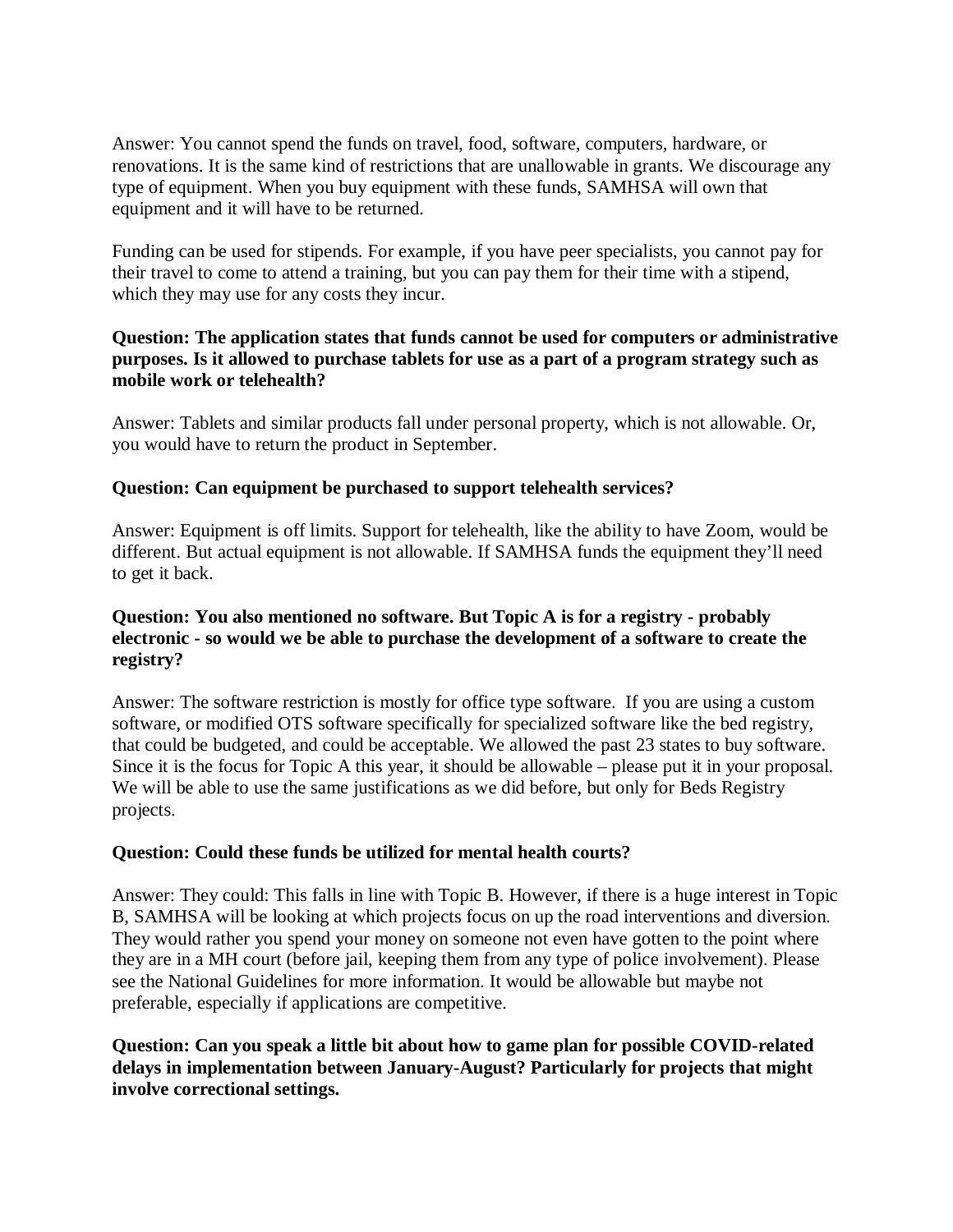Answer: You cannot spend the funds on travel, food, software, computers, hardware, or renovations. It is the same kind of restrictions that are unallowable in grants. We discourage any type of equipment. When you buy equipment with these funds, SAMHSA will own that equipment and it will have to be returned.

Funding can be used for stipends. For example, if you have peer specialists, you cannot pay for their travel to come to attend a training, but you can pay them for their time with a stipend, which they may use for any costs they incur.

## **Question: The application states that funds cannot be used for computers or administrative purposes. Is it allowed to purchase tablets for use as a part of a program strategy such as mobile work or telehealth?**

Answer: Tablets and similar products fall under personal property, which is not allowable. Or, you would have to return the product in September.

## **Question: Can equipment be purchased to support telehealth services?**

Answer: Equipment is off limits. Support for telehealth, like the ability to have Zoom, would be different. But actual equipment is not allowable. If SAMHSA funds the equipment they'll need to get it back.

## **Question: You also mentioned no software. But Topic A is for a registry - probably electronic - so would we be able to purchase the development of a software to create the registry?**

Answer: The software restriction is mostly for office type software. If you are using a custom software, or modified OTS software specifically for specialized software like the bed registry, that could be budgeted, and could be acceptable. We allowed the past 23 states to buy software. Since it is the focus for Topic A this year, it should be allowable – please put it in your proposal. We will be able to use the same justifications as we did before, but only for Beds Registry projects.

## **Question: Could these funds be utilized for mental health courts?**

Answer: They could: This falls in line with Topic B. However, if there is a huge interest in Topic B, SAMHSA will be looking at which projects focus on up the road interventions and diversion. They would rather you spend your money on someone not even have gotten to the point where they are in a MH court (before jail, keeping them from any type of police involvement). Please see the National Guidelines for more information. It would be allowable but maybe not preferable, especially if applications are competitive.

### **Question: Can you speak a little bit about how to game plan for possible COVID-related delays in implementation between January-August? Particularly for projects that might involve correctional settings.**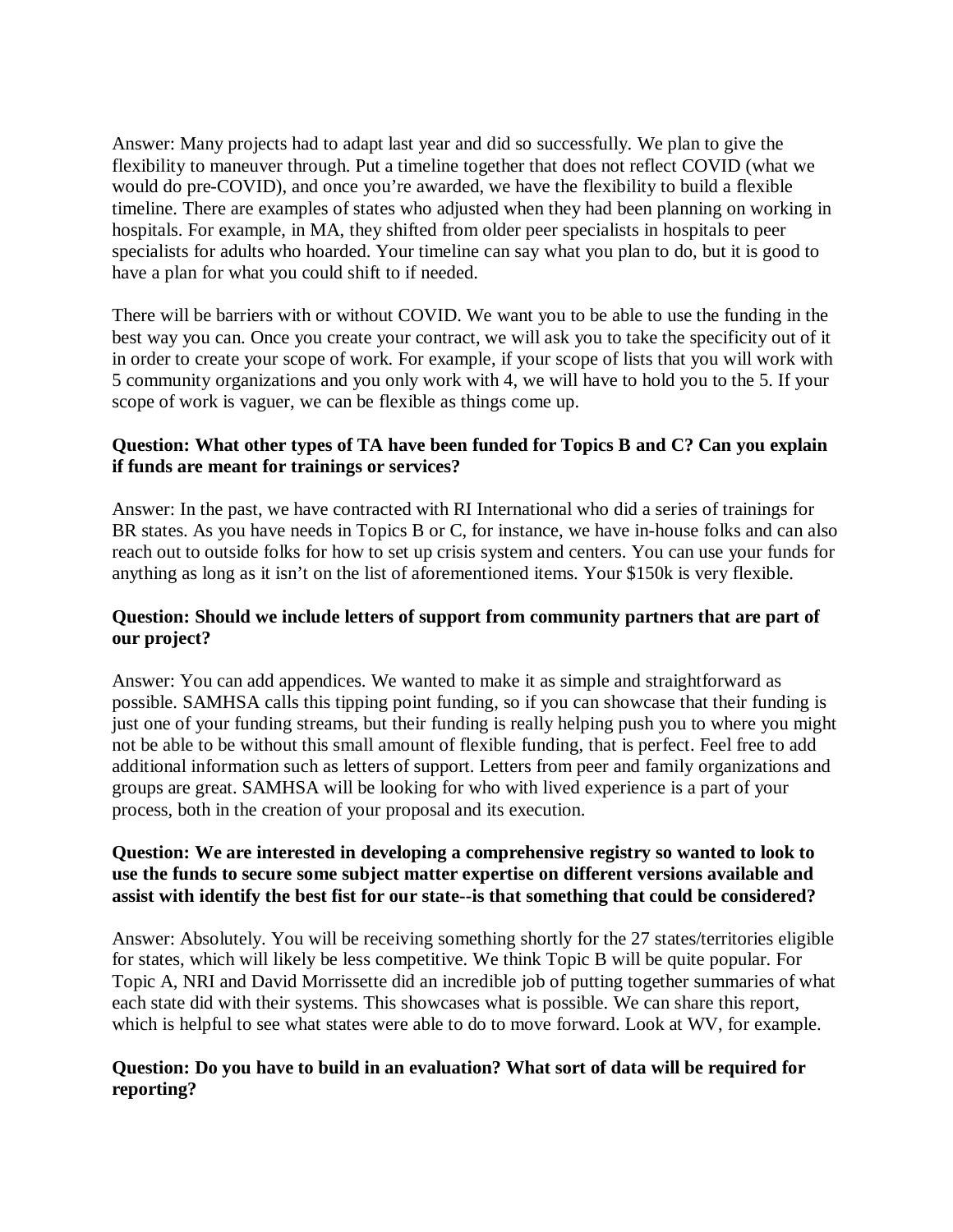Answer: Many projects had to adapt last year and did so successfully. We plan to give the flexibility to maneuver through. Put a timeline together that does not reflect COVID (what we would do pre-COVID), and once you're awarded, we have the flexibility to build a flexible timeline. There are examples of states who adjusted when they had been planning on working in hospitals. For example, in MA, they shifted from older peer specialists in hospitals to peer specialists for adults who hoarded. Your timeline can say what you plan to do, but it is good to have a plan for what you could shift to if needed.

There will be barriers with or without COVID. We want you to be able to use the funding in the best way you can. Once you create your contract, we will ask you to take the specificity out of it in order to create your scope of work. For example, if your scope of lists that you will work with 5 community organizations and you only work with 4, we will have to hold you to the 5. If your scope of work is vaguer, we can be flexible as things come up.

### **Question: What other types of TA have been funded for Topics B and C? Can you explain if funds are meant for trainings or services?**

Answer: In the past, we have contracted with RI International who did a series of trainings for BR states. As you have needs in Topics B or C, for instance, we have in-house folks and can also reach out to outside folks for how to set up crisis system and centers. You can use your funds for anything as long as it isn't on the list of aforementioned items. Your \$150k is very flexible.

## **Question: Should we include letters of support from community partners that are part of our project?**

Answer: You can add appendices. We wanted to make it as simple and straightforward as possible. SAMHSA calls this tipping point funding, so if you can showcase that their funding is just one of your funding streams, but their funding is really helping push you to where you might not be able to be without this small amount of flexible funding, that is perfect. Feel free to add additional information such as letters of support. Letters from peer and family organizations and groups are great. SAMHSA will be looking for who with lived experience is a part of your process, both in the creation of your proposal and its execution.

## **Question: We are interested in developing a comprehensive registry so wanted to look to use the funds to secure some subject matter expertise on different versions available and assist with identify the best fist for our state--is that something that could be considered?**

Answer: Absolutely. You will be receiving something shortly for the 27 states/territories eligible for states, which will likely be less competitive. We think Topic B will be quite popular. For Topic A, NRI and David Morrissette did an incredible job of putting together summaries of what each state did with their systems. This showcases what is possible. We can share this report, which is helpful to see what states were able to do to move forward. Look at WV, for example.

## **Question: Do you have to build in an evaluation? What sort of data will be required for reporting?**